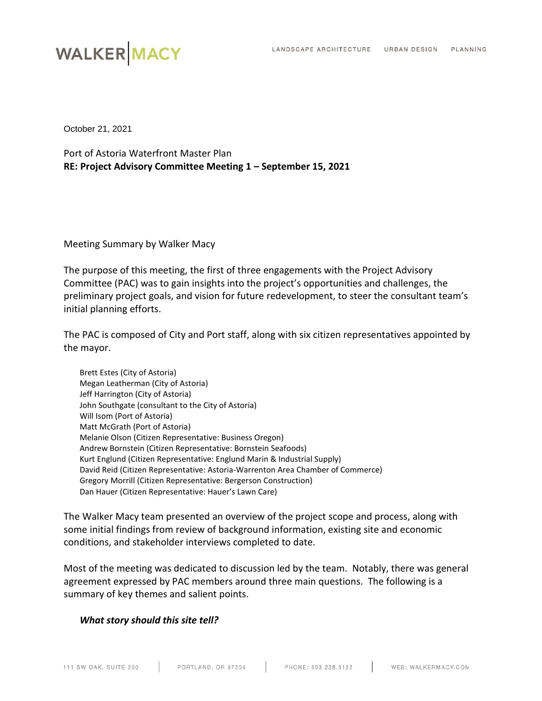# **WALKER MACY**

October 21, 2021

Port of Astoria Waterfront Master Plan **RE: Project Advisory Committee Meeting 1 – September 15, 2021**

Meeting Summary by Walker Macy

The purpose of this meeting, the first of three engagements with the Project Advisory Committee (PAC) was to gain insights into the project's opportunities and challenges, the preliminary project goals, and vision for future redevelopment, to steer the consultant team's initial planning efforts.

The PAC is composed of City and Port staff, along with six citizen representatives appointed by the mayor.

| Brett Estes (City of Astoria)                                                   |
|---------------------------------------------------------------------------------|
| Megan Leatherman (City of Astoria)                                              |
| Jeff Harrington (City of Astoria)                                               |
| John Southgate (consultant to the City of Astoria)                              |
| Will Isom (Port of Astoria)                                                     |
| Matt McGrath (Port of Astoria)                                                  |
| Melanie Olson (Citizen Representative: Business Oregon)                         |
| Andrew Bornstein (Citizen Representative: Bornstein Seafoods)                   |
| Kurt Englund (Citizen Representative: Englund Marin & Industrial Supply)        |
| David Reid (Citizen Representative: Astoria-Warrenton Area Chamber of Commerce) |
| Gregory Morrill (Citizen Representative: Bergerson Construction)                |
| Dan Hauer (Citizen Representative: Hauer's Lawn Care)                           |

The Walker Macy team presented an overview of the project scope and process, along with some initial findings from review of background information, existing site and economic conditions, and stakeholder interviews completed to date.

Most of the meeting was dedicated to discussion led by the team. Notably, there was general agreement expressed by PAC members around three main questions. The following is a summary of key themes and salient points.

## *What story should this site tell?*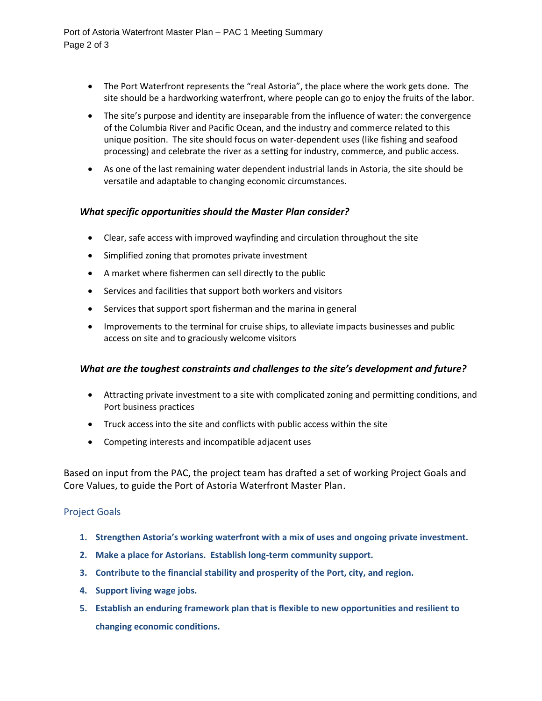- The Port Waterfront represents the "real Astoria", the place where the work gets done. The site should be a hardworking waterfront, where people can go to enjoy the fruits of the labor.
- The site's purpose and identity are inseparable from the influence of water: the convergence of the Columbia River and Pacific Ocean, and the industry and commerce related to this unique position. The site should focus on water-dependent uses (like fishing and seafood processing) and celebrate the river as a setting for industry, commerce, and public access.
- As one of the last remaining water dependent industrial lands in Astoria, the site should be versatile and adaptable to changing economic circumstances.

## *What specific opportunities should the Master Plan consider?*

- Clear, safe access with improved wayfinding and circulation throughout the site
- Simplified zoning that promotes private investment
- A market where fishermen can sell directly to the public
- Services and facilities that support both workers and visitors
- Services that support sport fisherman and the marina in general
- Improvements to the terminal for cruise ships, to alleviate impacts businesses and public access on site and to graciously welcome visitors

#### *What are the toughest constraints and challenges to the site's development and future?*

- Attracting private investment to a site with complicated zoning and permitting conditions, and Port business practices
- Truck access into the site and conflicts with public access within the site
- Competing interests and incompatible adjacent uses

Based on input from the PAC, the project team has drafted a set of working Project Goals and Core Values, to guide the Port of Astoria Waterfront Master Plan.

#### Project Goals

- **1. Strengthen Astoria's working waterfront with a mix of uses and ongoing private investment.**
- **2. Make a place for Astorians. Establish long-term community support.**
- **3. Contribute to the financial stability and prosperity of the Port, city, and region.**
- **4. Support living wage jobs.**
- **5. Establish an enduring framework plan that is flexible to new opportunities and resilient to changing economic conditions.**